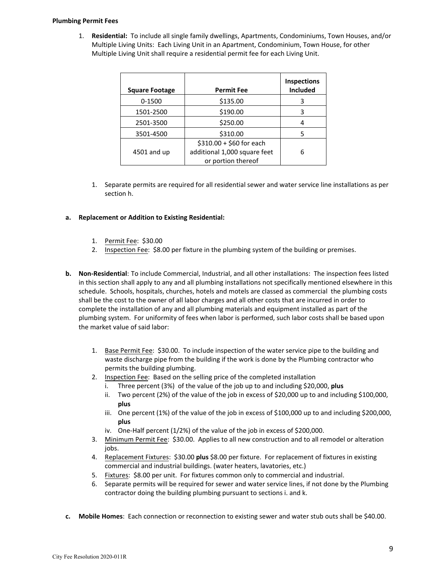## **Plumbing Permit Fees**

1. **Residential:** To include all single family dwellings, Apartments, Condominiums, Town Houses, and/or Multiple Living Units: Each Living Unit in an Apartment, Condominium, Town House, for other Multiple Living Unit shall require a residential permit fee for each Living Unit.

| <b>Square Footage</b> | <b>Permit Fee</b>            | <b>Inspections</b><br><b>Included</b> |
|-----------------------|------------------------------|---------------------------------------|
| $0 - 1500$            | \$135.00                     | 3                                     |
| 1501-2500             | \$190.00                     | 3                                     |
| 2501-3500             | \$250.00                     | 4                                     |
| 3501-4500             | \$310.00                     | 5                                     |
|                       | $$310.00 + $60$ for each     |                                       |
| 4501 and up           | additional 1,000 square feet | 6                                     |
|                       | or portion thereof           |                                       |

- 1. Separate permits are required for all residential sewer and water service line installations as per section h.
- **a. Replacement or Addition to Existing Residential:** 
	- 1. Permit Fee: \$30.00
	- 2. Inspection Fee: \$8.00 per fixture in the plumbing system of the building or premises.
- **b. Non-Residential**: To include Commercial, Industrial, and all other installations: The inspection fees listed in this section shall apply to any and all plumbing installations not specifically mentioned elsewhere in this schedule. Schools, hospitals, churches, hotels and motels are classed as commercial the plumbing costs shall be the cost to the owner of all labor charges and all other costs that are incurred in order to complete the installation of any and all plumbing materials and equipment installed as part of the plumbing system. For uniformity of fees when labor is performed, such labor costs shall be based upon the market value of said labor:
	- 1. Base Permit Fee: \$30.00. To include inspection of the water service pipe to the building and waste discharge pipe from the building if the work is done by the Plumbing contractor who permits the building plumbing.
	- 2. Inspection Fee: Based on the selling price of the completed installation
		- i. Three percent (3%) of the value of the job up to and including \$20,000, **plus**
		- ii. Two percent (2%) of the value of the job in excess of \$20,000 up to and including \$100,000, **plus**
		- iii. One percent (1%) of the value of the job in excess of \$100,000 up to and including \$200,000, **plus**
		- iv. One-Half percent (1/2%) of the value of the job in excess of \$200,000.
	- 3. Minimum Permit Fee: \$30.00. Applies to all new construction and to all remodel or alteration jobs.
	- 4. Replacement Fixtures: \$30.00 **plus** \$8.00 per fixture. For replacement of fixtures in existing commercial and industrial buildings. (water heaters, lavatories, etc.)
	- 5. Fixtures: \$8.00 per unit. For fixtures common only to commercial and industrial.
	- 6. Separate permits will be required for sewer and water service lines, if not done by the Plumbing contractor doing the building plumbing pursuant to sections i. and k.
- **c. Mobile Homes**: Each connection or reconnection to existing sewer and water stub outs shall be \$40.00.